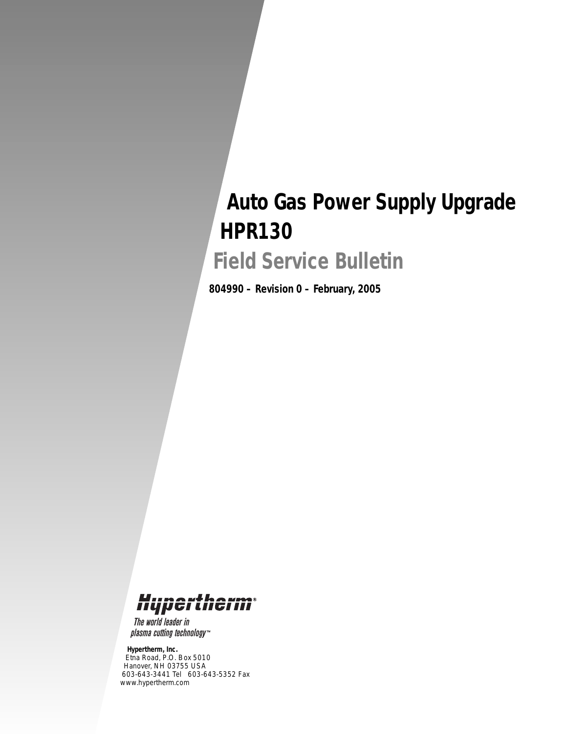## *Auto Gas Power Supply Upgrade HPR130*

*Field Service Bulletin*

*804990 – Revision 0 – February, 2005*



The world leader in plasma cutting technology<sup>\*\*</sup>

*Hypertherm, Inc.*

*Etna Road, P.O. Box 5010 Hanover, NH 03755 USA 603-643-3441 Tel 603-643-5352 Fax www.hypertherm.com*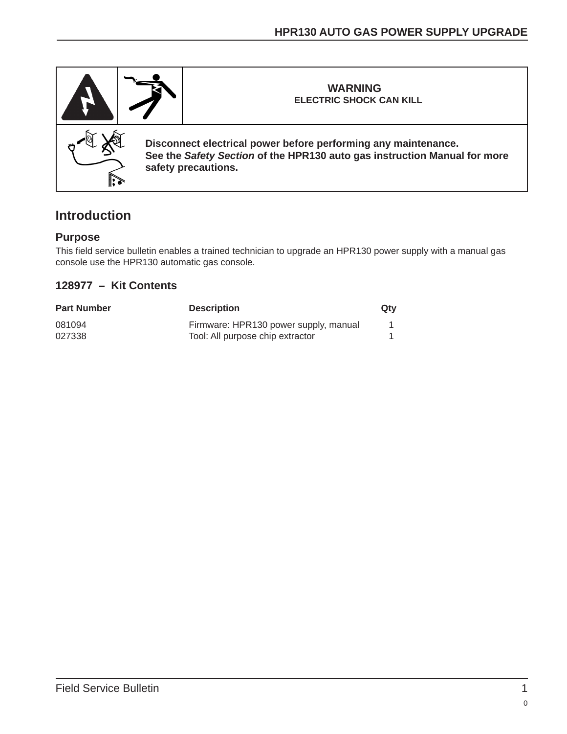

## **Introduction**

## **Purpose**

This field service bulletin enables a trained technician to upgrade an HPR130 power supply with a manual gas console use the HPR130 automatic gas console.

## **128977 – Kit Contents**

| <b>Part Number</b> | <b>Description</b>                    | Qty |
|--------------------|---------------------------------------|-----|
| 081094             | Firmware: HPR130 power supply, manual |     |
| 027338             | Tool: All purpose chip extractor      |     |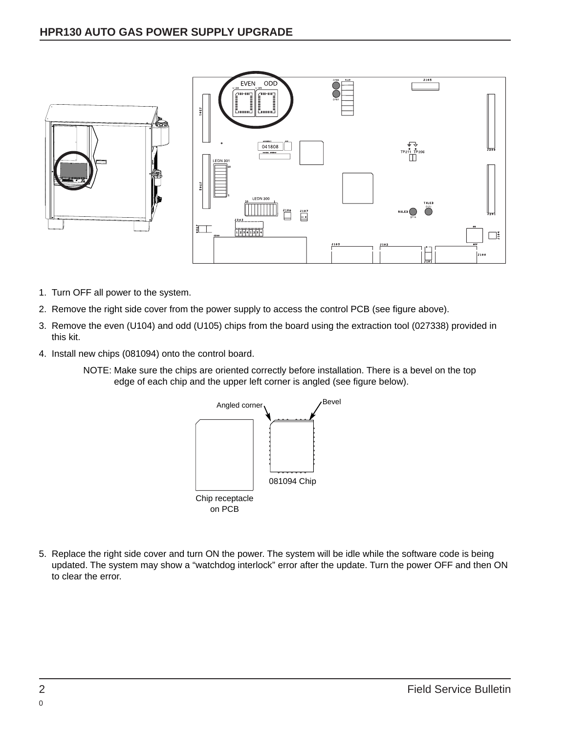

- 1. Turn OFF all power to the system.
- 2. Remove the right side cover from the power supply to access the control PCB (see figure above).
- 3. Remove the even (U104) and odd (U105) chips from the board using the extraction tool (027338) provided in this kit.
- 4. Install new chips (081094) onto the control board.
	- NOTE: Make sure the chips are oriented correctly before installation. There is a bevel on the top edge of each chip and the upper left corner is angled (see figure below).



5. Replace the right side cover and turn ON the power. The system will be idle while the software code is being updated. The system may show a "watchdog interlock" error after the update. Turn the power OFF and then ON to clear the error.